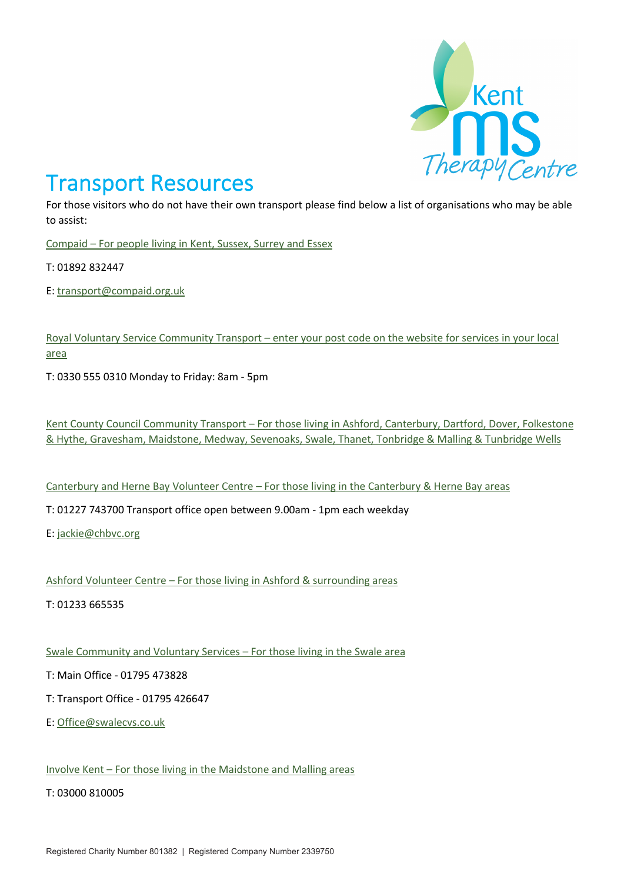

## Transport Resources

For those visitors who do not have their own transport please find below a list of organisations who may be able to assist:

Compaid – For people living in Kent, Sussex, Surrey and Essex

T: 01892 832447

E: transport@compaid.org.uk

Royal Voluntary Service Community Transport – enter your post code on the website for services in your local area

T: 0330 555 0310 Monday to Friday: 8am - 5pm

Kent County Council Community Transport – For those living in Ashford, Canterbury, Dartford, Dover, Folkestone & Hythe, Gravesham, Maidstone, Medway, Sevenoaks, Swale, Thanet, Tonbridge & Malling & Tunbridge Wells

Canterbury and Herne Bay Volunteer Centre – For those living in the Canterbury & Herne Bay areas

T: 01227 743700 Transport office open between 9.00am - 1pm each weekday

E: jackie@chbvc.org

Ashford Volunteer Centre – For those living in Ashford & surrounding areas

T: 01233 665535

Swale Community and Voluntary Services – For those living in the Swale area

T: Main Office - 01795 473828

T: Transport Office - 01795 426647

E: Office@swalecvs.co.uk

Involve Kent – For those living in the Maidstone and Malling areas

T: 03000 810005